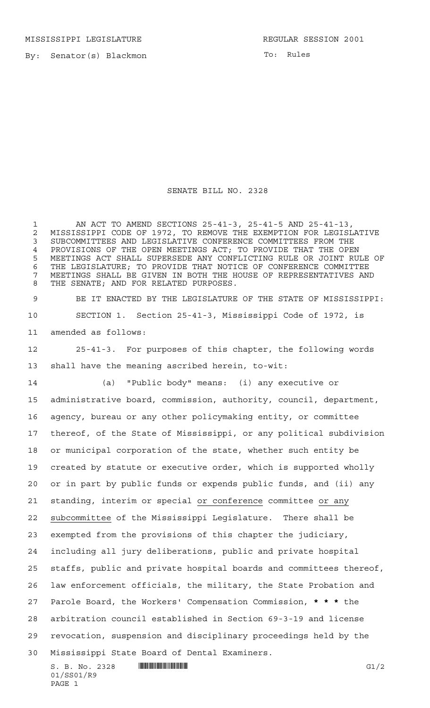By: Senator(s) Blackmon

To: Rules

## SENATE BILL NO. 2328

 AN ACT TO AMEND SECTIONS 25-41-3, 25-41-5 AND 25-41-13, 2 MISSISSIPPI CODE OF 1972, TO REMOVE THE EXEMPTION FOR LEGISLATIVE<br>3 SUBCOMMITTEES AND LEGISLATIVE CONFERENCE COMMITTEES FROM THE SUBCOMMITTEES AND LEGISLATIVE CONFERENCE COMMITTEES FROM THE PROVISIONS OF THE OPEN MEETINGS ACT; TO PROVIDE THAT THE OPEN MEETINGS ACT SHALL SUPERSEDE ANY CONFLICTING RULE OR JOINT RULE OF THE LEGISLATURE; TO PROVIDE THAT NOTICE OF CONFERENCE COMMITTEE MEETINGS SHALL BE GIVEN IN BOTH THE HOUSE OF REPRESENTATIVES AND THE SENATE; AND FOR RELATED PURPOSES.

 BE IT ENACTED BY THE LEGISLATURE OF THE STATE OF MISSISSIPPI: SECTION 1. Section 25-41-3, Mississippi Code of 1972, is amended as follows:

 25-41-3. For purposes of this chapter, the following words shall have the meaning ascribed herein, to-wit:

(a) "Public body" means: (i) any executive or

 administrative board, commission, authority, council, department, agency, bureau or any other policymaking entity, or committee thereof, of the State of Mississippi, or any political subdivision or municipal corporation of the state, whether such entity be created by statute or executive order, which is supported wholly or in part by public funds or expends public funds, and (ii) any standing, interim or special or conference committee or any subcommittee of the Mississippi Legislature. There shall be exempted from the provisions of this chapter the judiciary, including all jury deliberations, public and private hospital staffs, public and private hospital boards and committees thereof, law enforcement officials, the military, the State Probation and Parole Board, the Workers' Compensation Commission, **\*\*\*** the arbitration council established in Section 69-3-19 and license revocation, suspension and disciplinary proceedings held by the Mississippi State Board of Dental Examiners.

 $S. B. No. 2328$  **INNIFICALLY G1/2** 01/SS01/R9 PAGE 1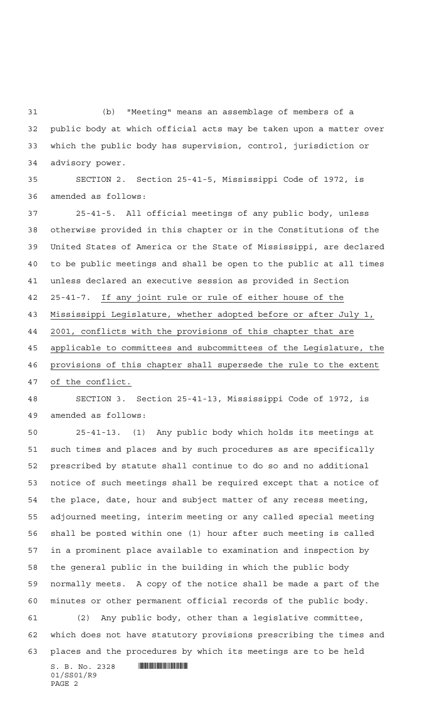(b) "Meeting" means an assemblage of members of a public body at which official acts may be taken upon a matter over which the public body has supervision, control, jurisdiction or advisory power.

 SECTION 2. Section 25-41-5, Mississippi Code of 1972, is amended as follows:

 25-41-5. All official meetings of any public body, unless otherwise provided in this chapter or in the Constitutions of the United States of America or the State of Mississippi, are declared to be public meetings and shall be open to the public at all times unless declared an executive session as provided in Section 25-41-7. If any joint rule or rule of either house of the Mississippi Legislature, whether adopted before or after July 1, 2001, conflicts with the provisions of this chapter that are applicable to committees and subcommittees of the Legislature, the provisions of this chapter shall supersede the rule to the extent of the conflict.

 SECTION 3. Section 25-41-13, Mississippi Code of 1972, is amended as follows:

 $S. B. No. 2328$  . The set of  $S. B. N_O. 2328$  25-41-13. (1) Any public body which holds its meetings at such times and places and by such procedures as are specifically prescribed by statute shall continue to do so and no additional notice of such meetings shall be required except that a notice of the place, date, hour and subject matter of any recess meeting, adjourned meeting, interim meeting or any called special meeting shall be posted within one (1) hour after such meeting is called in a prominent place available to examination and inspection by the general public in the building in which the public body normally meets. A copy of the notice shall be made a part of the minutes or other permanent official records of the public body. (2) Any public body, other than a legislative committee, which does not have statutory provisions prescribing the times and places and the procedures by which its meetings are to be held

01/SS01/R9 PAGE 2